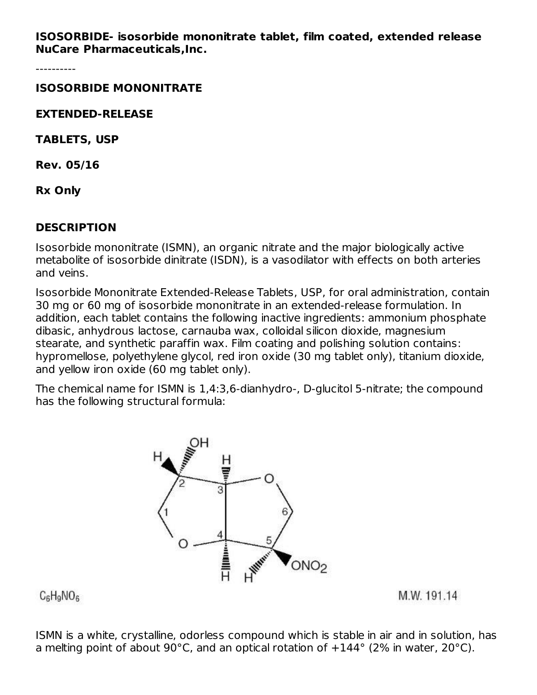**ISOSORBIDE- isosorbide mononitrate tablet, film coated, extended release NuCare Pharmaceuticals,Inc.**

----------

#### **ISOSORBIDE MONONITRATE**

#### **EXTENDED-RELEASE**

**TABLETS, USP**

**Rev. 05/16**

**Rx Only**

## **DESCRIPTION**

Isosorbide mononitrate (ISMN), an organic nitrate and the major biologically active metabolite of isosorbide dinitrate (ISDN), is a vasodilator with effects on both arteries and veins.

Isosorbide Mononitrate Extended-Release Tablets, USP, for oral administration, contain 30 mg or 60 mg of isosorbide mononitrate in an extended-release formulation. In addition, each tablet contains the following inactive ingredients: ammonium phosphate dibasic, anhydrous lactose, carnauba wax, colloidal silicon dioxide, magnesium stearate, and synthetic paraffin wax. Film coating and polishing solution contains: hypromellose, polyethylene glycol, red iron oxide (30 mg tablet only), titanium dioxide, and yellow iron oxide (60 mg tablet only).

The chemical name for ISMN is 1,4:3,6-dianhydro-, D-glucitol 5-nitrate; the compound has the following structural formula:



 $C_6H_9NO_6$ 

M.W. 191.14

ISMN is a white, crystalline, odorless compound which is stable in air and in solution, has a melting point of about 90°C, and an optical rotation of  $+144^{\circ}$  (2% in water, 20°C).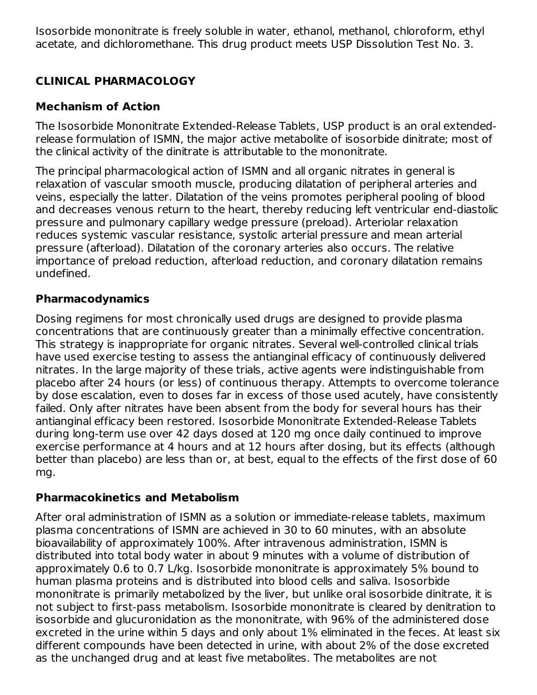Isosorbide mononitrate is freely soluble in water, ethanol, methanol, chloroform, ethyl acetate, and dichloromethane. This drug product meets USP Dissolution Test No. 3.

# **CLINICAL PHARMACOLOGY**

## **Mechanism of Action**

The Isosorbide Mononitrate Extended-Release Tablets, USP product is an oral extendedrelease formulation of ISMN, the major active metabolite of isosorbide dinitrate; most of the clinical activity of the dinitrate is attributable to the mononitrate.

The principal pharmacological action of ISMN and all organic nitrates in general is relaxation of vascular smooth muscle, producing dilatation of peripheral arteries and veins, especially the latter. Dilatation of the veins promotes peripheral pooling of blood and decreases venous return to the heart, thereby reducing left ventricular end-diastolic pressure and pulmonary capillary wedge pressure (preload). Arteriolar relaxation reduces systemic vascular resistance, systolic arterial pressure and mean arterial pressure (afterload). Dilatation of the coronary arteries also occurs. The relative importance of preload reduction, afterload reduction, and coronary dilatation remains undefined.

## **Pharmacodynamics**

Dosing regimens for most chronically used drugs are designed to provide plasma concentrations that are continuously greater than a minimally effective concentration. This strategy is inappropriate for organic nitrates. Several well-controlled clinical trials have used exercise testing to assess the antianginal efficacy of continuously delivered nitrates. In the large majority of these trials, active agents were indistinguishable from placebo after 24 hours (or less) of continuous therapy. Attempts to overcome tolerance by dose escalation, even to doses far in excess of those used acutely, have consistently failed. Only after nitrates have been absent from the body for several hours has their antianginal efficacy been restored. Isosorbide Mononitrate Extended-Release Tablets during long-term use over 42 days dosed at 120 mg once daily continued to improve exercise performance at 4 hours and at 12 hours after dosing, but its effects (although better than placebo) are less than or, at best, equal to the effects of the first dose of 60 mg.

#### **Pharmacokinetics and Metabolism**

After oral administration of ISMN as a solution or immediate-release tablets, maximum plasma concentrations of ISMN are achieved in 30 to 60 minutes, with an absolute bioavailability of approximately 100%. After intravenous administration, ISMN is distributed into total body water in about 9 minutes with a volume of distribution of approximately 0.6 to 0.7 L/kg. Isosorbide mononitrate is approximately 5% bound to human plasma proteins and is distributed into blood cells and saliva. Isosorbide mononitrate is primarily metabolized by the liver, but unlike oral isosorbide dinitrate, it is not subject to first-pass metabolism. Isosorbide mononitrate is cleared by denitration to isosorbide and glucuronidation as the mononitrate, with 96% of the administered dose excreted in the urine within 5 days and only about 1% eliminated in the feces. At least six different compounds have been detected in urine, with about 2% of the dose excreted as the unchanged drug and at least five metabolites. The metabolites are not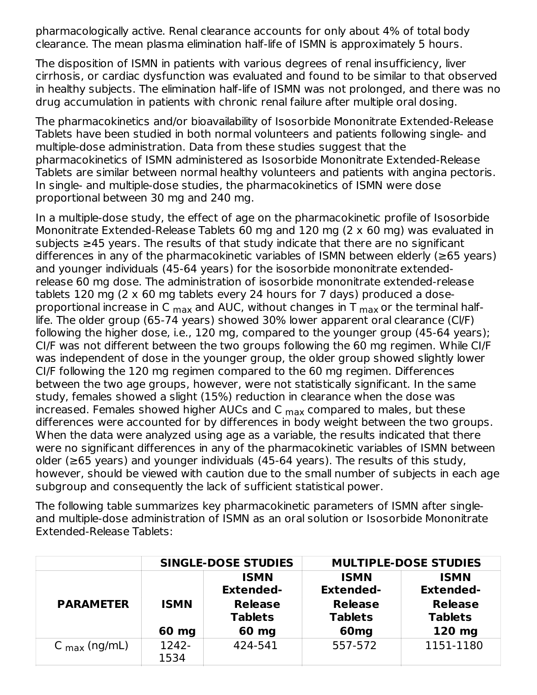pharmacologically active. Renal clearance accounts for only about 4% of total body clearance. The mean plasma elimination half-life of ISMN is approximately 5 hours.

The disposition of ISMN in patients with various degrees of renal insufficiency, liver cirrhosis, or cardiac dysfunction was evaluated and found to be similar to that observed in healthy subjects. The elimination half-life of ISMN was not prolonged, and there was no drug accumulation in patients with chronic renal failure after multiple oral dosing.

The pharmacokinetics and/or bioavailability of Isosorbide Mononitrate Extended-Release Tablets have been studied in both normal volunteers and patients following single- and multiple-dose administration. Data from these studies suggest that the pharmacokinetics of ISMN administered as Isosorbide Mononitrate Extended-Release Tablets are similar between normal healthy volunteers and patients with angina pectoris. In single- and multiple-dose studies, the pharmacokinetics of ISMN were dose proportional between 30 mg and 240 mg.

In a multiple-dose study, the effect of age on the pharmacokinetic profile of Isosorbide Mononitrate Extended-Release Tablets 60 mg and 120 mg (2 x 60 mg) was evaluated in subjects ≥45 years. The results of that study indicate that there are no significant differences in any of the pharmacokinetic variables of ISMN between elderly ( $\geq 65$  years) and younger individuals (45-64 years) for the isosorbide mononitrate extendedrelease 60 mg dose. The administration of isosorbide mononitrate extended-release tablets 120 mg (2 x 60 mg tablets every 24 hours for 7 days) produced a doseproportional increase in C  $_{\sf max}$  and AUC, without changes in T  $_{\sf max}$  or the terminal halflife. The older group (65-74 years) showed 30% lower apparent oral clearance (Cl/F) following the higher dose, i.e., 120 mg, compared to the younger group (45-64 years); CI/F was not different between the two groups following the 60 mg regimen. While CI/F was independent of dose in the younger group, the older group showed slightly lower CI/F following the 120 mg regimen compared to the 60 mg regimen. Differences between the two age groups, however, were not statistically significant. In the same study, females showed a slight (15%) reduction in clearance when the dose was increased. Females showed higher AUCs and C  $_{\sf max}$  compared to males, but these differences were accounted for by differences in body weight between the two groups. When the data were analyzed using age as a variable, the results indicated that there were no significant differences in any of the pharmacokinetic variables of ISMN between older ( $\geq$ 65 years) and younger individuals (45-64 years). The results of this study, however, should be viewed with caution due to the small number of subjects in each age subgroup and consequently the lack of sufficient statistical power.

The following table summarizes key pharmacokinetic parameters of ISMN after singleand multiple-dose administration of ISMN as an oral solution or Isosorbide Mononitrate Extended-Release Tablets:

|                           | <b>SINGLE-DOSE STUDIES</b>      |         | <b>MULTIPLE-DOSE STUDIES</b>                                        |                                                                     |  |
|---------------------------|---------------------------------|---------|---------------------------------------------------------------------|---------------------------------------------------------------------|--|
| <b>PARAMETER</b>          | <b>Extended-</b><br><b>ISMN</b> |         | <b>ISMN</b><br><b>Extended-</b><br><b>Release</b><br><b>Tablets</b> | <b>ISMN</b><br><b>Extended-</b><br><b>Release</b><br><b>Tablets</b> |  |
|                           | 60 mg                           | 60 mg   | 60 <sub>mg</sub>                                                    | 120 mg                                                              |  |
| C $_{\text{max}}$ (ng/mL) | 1242-<br>1534                   | 424-541 | 557-572                                                             | 1151-1180                                                           |  |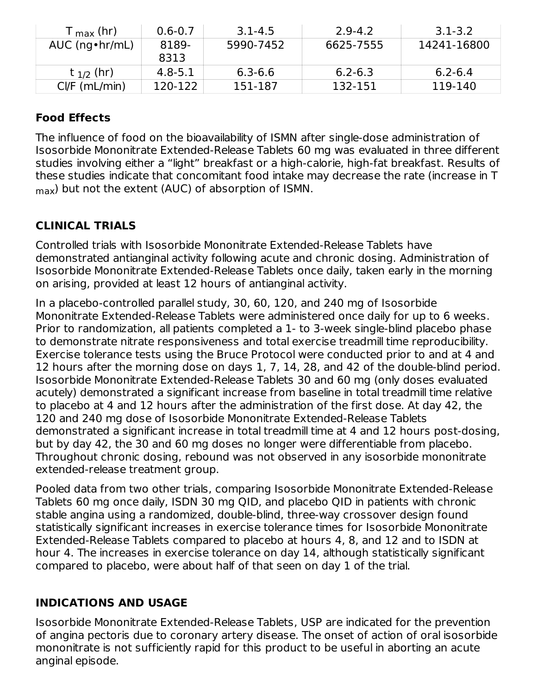| T $_{\text{max}}$ (hr) | $0.6 - 0.7$ | $3.1 - 4.5$ | $2.9 - 4.2$ | $3.1 - 3.2$ |  |
|------------------------|-------------|-------------|-------------|-------------|--|
| $AUC$ (ng • hr/mL)     | 8189-       | 5990-7452   | 6625-7555   | 14241-16800 |  |
|                        | 8313        |             |             |             |  |
| t <sub>1/2</sub> (hr)  | $4.8 - 5.1$ | $6.3 - 6.6$ | $6.2 - 6.3$ | $6.2 - 6.4$ |  |
| $Cl/F$ (mL/min)        | 120-122     | 151-187     | 132-151     | 119-140     |  |

# **Food Effects**

The influence of food on the bioavailability of ISMN after single-dose administration of Isosorbide Mononitrate Extended-Release Tablets 60 mg was evaluated in three different studies involving either a "light" breakfast or a high-calorie, high-fat breakfast. Results of these studies indicate that concomitant food intake may decrease the rate (increase in T  $_{\sf max}$ ) but not the extent (AUC) of absorption of ISMN.

# **CLINICAL TRIALS**

Controlled trials with Isosorbide Mononitrate Extended-Release Tablets have demonstrated antianginal activity following acute and chronic dosing. Administration of Isosorbide Mononitrate Extended-Release Tablets once daily, taken early in the morning on arising, provided at least 12 hours of antianginal activity.

In a placebo-controlled parallel study, 30, 60, 120, and 240 mg of Isosorbide Mononitrate Extended-Release Tablets were administered once daily for up to 6 weeks. Prior to randomization, all patients completed a 1- to 3-week single-blind placebo phase to demonstrate nitrate responsiveness and total exercise treadmill time reproducibility. Exercise tolerance tests using the Bruce Protocol were conducted prior to and at 4 and 12 hours after the morning dose on days 1, 7, 14, 28, and 42 of the double-blind period. Isosorbide Mononitrate Extended-Release Tablets 30 and 60 mg (only doses evaluated acutely) demonstrated a significant increase from baseline in total treadmill time relative to placebo at 4 and 12 hours after the administration of the first dose. At day 42, the 120 and 240 mg dose of Isosorbide Mononitrate Extended-Release Tablets demonstrated a significant increase in total treadmill time at 4 and 12 hours post-dosing, but by day 42, the 30 and 60 mg doses no longer were differentiable from placebo. Throughout chronic dosing, rebound was not observed in any isosorbide mononitrate extended-release treatment group.

Pooled data from two other trials, comparing Isosorbide Mononitrate Extended-Release Tablets 60 mg once daily, ISDN 30 mg QID, and placebo QID in patients with chronic stable angina using a randomized, double-blind, three-way crossover design found statistically significant increases in exercise tolerance times for Isosorbide Mononitrate Extended-Release Tablets compared to placebo at hours 4, 8, and 12 and to ISDN at hour 4. The increases in exercise tolerance on day 14, although statistically significant compared to placebo, were about half of that seen on day 1 of the trial.

## **INDICATIONS AND USAGE**

Isosorbide Mononitrate Extended-Release Tablets, USP are indicated for the prevention of angina pectoris due to coronary artery disease. The onset of action of oral isosorbide mononitrate is not sufficiently rapid for this product to be useful in aborting an acute anginal episode.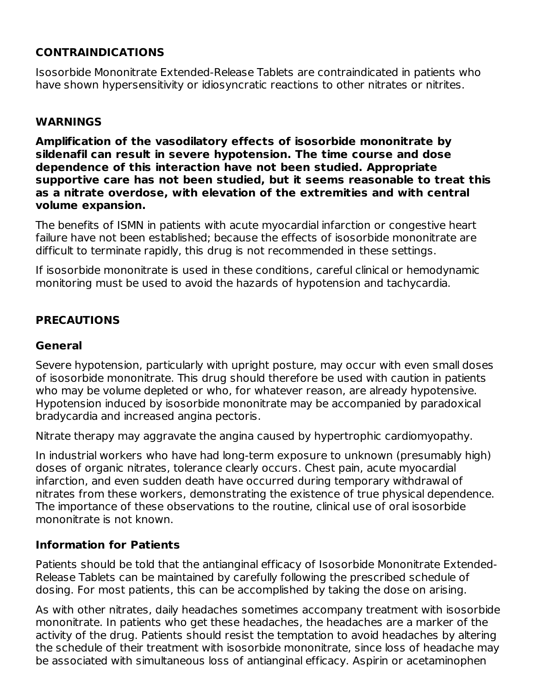## **CONTRAINDICATIONS**

Isosorbide Mononitrate Extended-Release Tablets are contraindicated in patients who have shown hypersensitivity or idiosyncratic reactions to other nitrates or nitrites.

### **WARNINGS**

**Amplification of the vasodilatory effects of isosorbide mononitrate by sildenafil can result in severe hypotension. The time course and dose dependence of this interaction have not been studied. Appropriate supportive care has not been studied, but it seems reasonable to treat this as a nitrate overdose, with elevation of the extremities and with central volume expansion.**

The benefits of ISMN in patients with acute myocardial infarction or congestive heart failure have not been established; because the effects of isosorbide mononitrate are difficult to terminate rapidly, this drug is not recommended in these settings.

If isosorbide mononitrate is used in these conditions, careful clinical or hemodynamic monitoring must be used to avoid the hazards of hypotension and tachycardia.

## **PRECAUTIONS**

#### **General**

Severe hypotension, particularly with upright posture, may occur with even small doses of isosorbide mononitrate. This drug should therefore be used with caution in patients who may be volume depleted or who, for whatever reason, are already hypotensive. Hypotension induced by isosorbide mononitrate may be accompanied by paradoxical bradycardia and increased angina pectoris.

Nitrate therapy may aggravate the angina caused by hypertrophic cardiomyopathy.

In industrial workers who have had long-term exposure to unknown (presumably high) doses of organic nitrates, tolerance clearly occurs. Chest pain, acute myocardial infarction, and even sudden death have occurred during temporary withdrawal of nitrates from these workers, demonstrating the existence of true physical dependence. The importance of these observations to the routine, clinical use of oral isosorbide mononitrate is not known.

#### **Information for Patients**

Patients should be told that the antianginal efficacy of Isosorbide Mononitrate Extended-Release Tablets can be maintained by carefully following the prescribed schedule of dosing. For most patients, this can be accomplished by taking the dose on arising.

As with other nitrates, daily headaches sometimes accompany treatment with isosorbide mononitrate. In patients who get these headaches, the headaches are a marker of the activity of the drug. Patients should resist the temptation to avoid headaches by altering the schedule of their treatment with isosorbide mononitrate, since loss of headache may be associated with simultaneous loss of antianginal efficacy. Aspirin or acetaminophen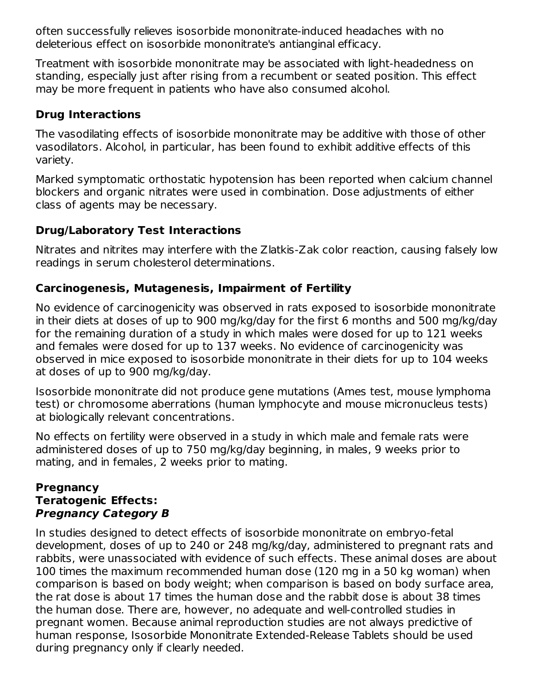often successfully relieves isosorbide mononitrate-induced headaches with no deleterious effect on isosorbide mononitrate's antianginal efficacy.

Treatment with isosorbide mononitrate may be associated with light-headedness on standing, especially just after rising from a recumbent or seated position. This effect may be more frequent in patients who have also consumed alcohol.

## **Drug Interactions**

The vasodilating effects of isosorbide mononitrate may be additive with those of other vasodilators. Alcohol, in particular, has been found to exhibit additive effects of this variety.

Marked symptomatic orthostatic hypotension has been reported when calcium channel blockers and organic nitrates were used in combination. Dose adjustments of either class of agents may be necessary.

## **Drug/Laboratory Test Interactions**

Nitrates and nitrites may interfere with the Zlatkis-Zak color reaction, causing falsely low readings in serum cholesterol determinations.

## **Carcinogenesis, Mutagenesis, Impairment of Fertility**

No evidence of carcinogenicity was observed in rats exposed to isosorbide mononitrate in their diets at doses of up to 900 mg/kg/day for the first 6 months and 500 mg/kg/day for the remaining duration of a study in which males were dosed for up to 121 weeks and females were dosed for up to 137 weeks. No evidence of carcinogenicity was observed in mice exposed to isosorbide mononitrate in their diets for up to 104 weeks at doses of up to 900 mg/kg/day.

Isosorbide mononitrate did not produce gene mutations (Ames test, mouse lymphoma test) or chromosome aberrations (human lymphocyte and mouse micronucleus tests) at biologically relevant concentrations.

No effects on fertility were observed in a study in which male and female rats were administered doses of up to 750 mg/kg/day beginning, in males, 9 weeks prior to mating, and in females, 2 weeks prior to mating.

#### **Pregnancy Teratogenic Effects: Pregnancy Category B**

In studies designed to detect effects of isosorbide mononitrate on embryo-fetal development, doses of up to 240 or 248 mg/kg/day, administered to pregnant rats and rabbits, were unassociated with evidence of such effects. These animal doses are about 100 times the maximum recommended human dose (120 mg in a 50 kg woman) when comparison is based on body weight; when comparison is based on body surface area, the rat dose is about 17 times the human dose and the rabbit dose is about 38 times the human dose. There are, however, no adequate and well-controlled studies in pregnant women. Because animal reproduction studies are not always predictive of human response, Isosorbide Mononitrate Extended-Release Tablets should be used during pregnancy only if clearly needed.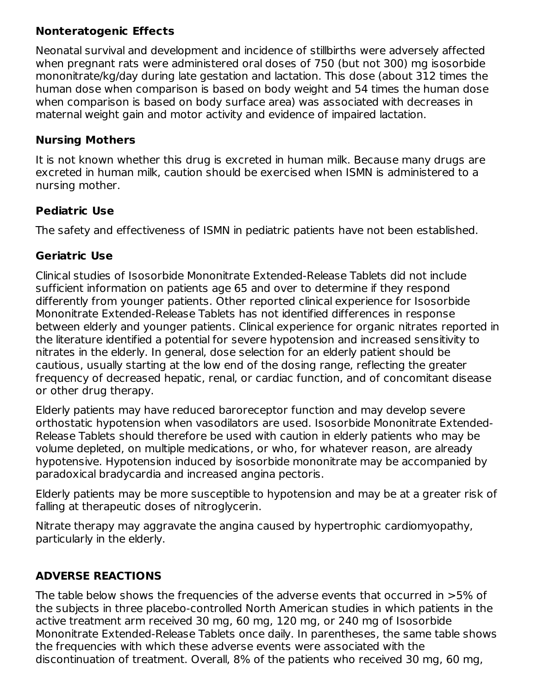## **Nonteratogenic Effects**

Neonatal survival and development and incidence of stillbirths were adversely affected when pregnant rats were administered oral doses of 750 (but not 300) mg isosorbide mononitrate/kg/day during late gestation and lactation. This dose (about 312 times the human dose when comparison is based on body weight and 54 times the human dose when comparison is based on body surface area) was associated with decreases in maternal weight gain and motor activity and evidence of impaired lactation.

## **Nursing Mothers**

It is not known whether this drug is excreted in human milk. Because many drugs are excreted in human milk, caution should be exercised when ISMN is administered to a nursing mother.

## **Pediatric Use**

The safety and effectiveness of ISMN in pediatric patients have not been established.

## **Geriatric Use**

Clinical studies of Isosorbide Mononitrate Extended-Release Tablets did not include sufficient information on patients age 65 and over to determine if they respond differently from younger patients. Other reported clinical experience for Isosorbide Mononitrate Extended-Release Tablets has not identified differences in response between elderly and younger patients. Clinical experience for organic nitrates reported in the literature identified a potential for severe hypotension and increased sensitivity to nitrates in the elderly. In general, dose selection for an elderly patient should be cautious, usually starting at the low end of the dosing range, reflecting the greater frequency of decreased hepatic, renal, or cardiac function, and of concomitant disease or other drug therapy.

Elderly patients may have reduced baroreceptor function and may develop severe orthostatic hypotension when vasodilators are used. Isosorbide Mononitrate Extended-Release Tablets should therefore be used with caution in elderly patients who may be volume depleted, on multiple medications, or who, for whatever reason, are already hypotensive. Hypotension induced by isosorbide mononitrate may be accompanied by paradoxical bradycardia and increased angina pectoris.

Elderly patients may be more susceptible to hypotension and may be at a greater risk of falling at therapeutic doses of nitroglycerin.

Nitrate therapy may aggravate the angina caused by hypertrophic cardiomyopathy, particularly in the elderly.

## **ADVERSE REACTIONS**

The table below shows the frequencies of the adverse events that occurred in >5% of the subjects in three placebo-controlled North American studies in which patients in the active treatment arm received 30 mg, 60 mg, 120 mg, or 240 mg of Isosorbide Mononitrate Extended-Release Tablets once daily. In parentheses, the same table shows the frequencies with which these adverse events were associated with the discontinuation of treatment. Overall, 8% of the patients who received 30 mg, 60 mg,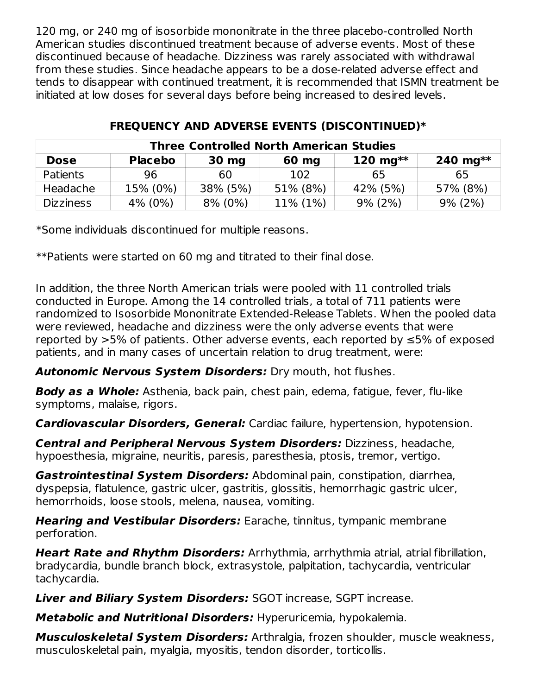120 mg, or 240 mg of isosorbide mononitrate in the three placebo-controlled North American studies discontinued treatment because of adverse events. Most of these discontinued because of headache. Dizziness was rarely associated with withdrawal from these studies. Since headache appears to be a dose-related adverse effect and tends to disappear with continued treatment, it is recommended that ISMN treatment be initiated at low doses for several days before being increased to desired levels.

| <b>Three Controlled North American Studies</b> |                |            |             |            |             |  |
|------------------------------------------------|----------------|------------|-------------|------------|-------------|--|
| <b>Dose</b>                                    | <b>Placebo</b> | 30 mg      | 60 mg       | 120 mg**   | 240 mg $**$ |  |
| <b>Patients</b>                                | 96             | 60         | 102         | 65.        | 65          |  |
| Headache                                       | 15% (0%)       | 38% (5%)   | 51% (8%)    | 42% (5%)   | 57% (8%)    |  |
| <b>Dizziness</b>                               | 4% (0%)        | $8\%$ (0%) | $11\%$ (1%) | $9\%$ (2%) | $9\%$ (2%)  |  |

## **FREQUENCY AND ADVERSE EVENTS (DISCONTINUED)\***

\*Some individuals discontinued for multiple reasons.

\*\*Patients were started on 60 mg and titrated to their final dose.

In addition, the three North American trials were pooled with 11 controlled trials conducted in Europe. Among the 14 controlled trials, a total of 711 patients were randomized to Isosorbide Mononitrate Extended-Release Tablets. When the pooled data were reviewed, headache and dizziness were the only adverse events that were reported by >5% of patients. Other adverse events, each reported by ≤5% of exposed patients, and in many cases of uncertain relation to drug treatment, were:

**Autonomic Nervous System Disorders:** Dry mouth, hot flushes.

**Body as a Whole:** Asthenia, back pain, chest pain, edema, fatigue, fever, flu-like symptoms, malaise, rigors.

**Cardiovascular Disorders, General:** Cardiac failure, hypertension, hypotension.

**Central and Peripheral Nervous System Disorders:** Dizziness, headache, hypoesthesia, migraine, neuritis, paresis, paresthesia, ptosis, tremor, vertigo.

**Gastrointestinal System Disorders:** Abdominal pain, constipation, diarrhea, dyspepsia, flatulence, gastric ulcer, gastritis, glossitis, hemorrhagic gastric ulcer, hemorrhoids, loose stools, melena, nausea, vomiting.

**Hearing and Vestibular Disorders:** Earache, tinnitus, tympanic membrane perforation.

**Heart Rate and Rhythm Disorders:** Arrhythmia, arrhythmia atrial, atrial fibrillation, bradycardia, bundle branch block, extrasystole, palpitation, tachycardia, ventricular tachycardia.

**Liver and Biliary System Disorders:** SGOT increase, SGPT increase.

**Metabolic and Nutritional Disorders:** Hyperuricemia, hypokalemia.

**Musculoskeletal System Disorders:** Arthralgia, frozen shoulder, muscle weakness, musculoskeletal pain, myalgia, myositis, tendon disorder, torticollis.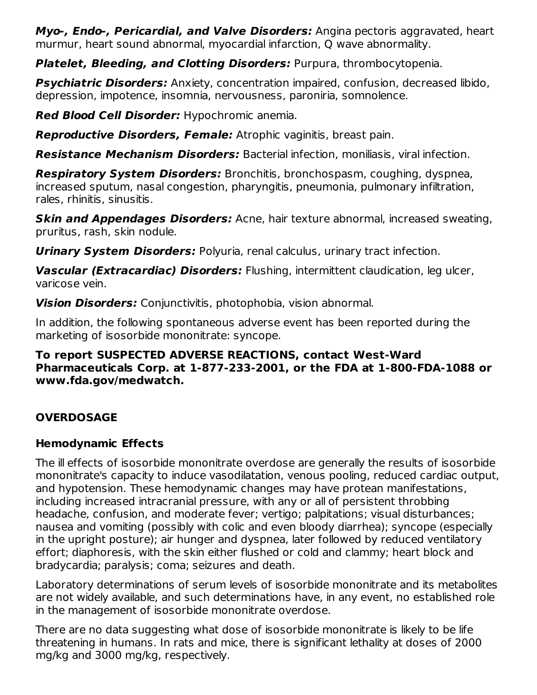**Myo-, Endo-, Pericardial, and Valve Disorders:** Angina pectoris aggravated, heart murmur, heart sound abnormal, myocardial infarction, Q wave abnormality.

**Platelet, Bleeding, and Clotting Disorders:** Purpura, thrombocytopenia.

**Psychiatric Disorders:** Anxiety, concentration impaired, confusion, decreased libido, depression, impotence, insomnia, nervousness, paroniria, somnolence.

**Red Blood Cell Disorder:** Hypochromic anemia.

**Reproductive Disorders, Female:** Atrophic vaginitis, breast pain.

**Resistance Mechanism Disorders:** Bacterial infection, moniliasis, viral infection.

**Respiratory System Disorders:** Bronchitis, bronchospasm, coughing, dyspnea, increased sputum, nasal congestion, pharyngitis, pneumonia, pulmonary infiltration, rales, rhinitis, sinusitis.

**Skin and Appendages Disorders:** Acne, hair texture abnormal, increased sweating, pruritus, rash, skin nodule.

**Urinary System Disorders:** Polyuria, renal calculus, urinary tract infection.

**Vascular (Extracardiac) Disorders:** Flushing, intermittent claudication, leg ulcer, varicose vein.

**Vision Disorders:** Conjunctivitis, photophobia, vision abnormal.

In addition, the following spontaneous adverse event has been reported during the marketing of isosorbide mononitrate: syncope.

#### **To report SUSPECTED ADVERSE REACTIONS, contact West-Ward Pharmaceuticals Corp. at 1-877-233-2001, or the FDA at 1-800-FDA-1088 or www.fda.gov/medwatch.**

# **OVERDOSAGE**

## **Hemodynamic Effects**

The ill effects of isosorbide mononitrate overdose are generally the results of isosorbide mononitrate's capacity to induce vasodilatation, venous pooling, reduced cardiac output, and hypotension. These hemodynamic changes may have protean manifestations, including increased intracranial pressure, with any or all of persistent throbbing headache, confusion, and moderate fever; vertigo; palpitations; visual disturbances; nausea and vomiting (possibly with colic and even bloody diarrhea); syncope (especially in the upright posture); air hunger and dyspnea, later followed by reduced ventilatory effort; diaphoresis, with the skin either flushed or cold and clammy; heart block and bradycardia; paralysis; coma; seizures and death.

Laboratory determinations of serum levels of isosorbide mononitrate and its metabolites are not widely available, and such determinations have, in any event, no established role in the management of isosorbide mononitrate overdose.

There are no data suggesting what dose of isosorbide mononitrate is likely to be life threatening in humans. In rats and mice, there is significant lethality at doses of 2000 mg/kg and 3000 mg/kg, respectively.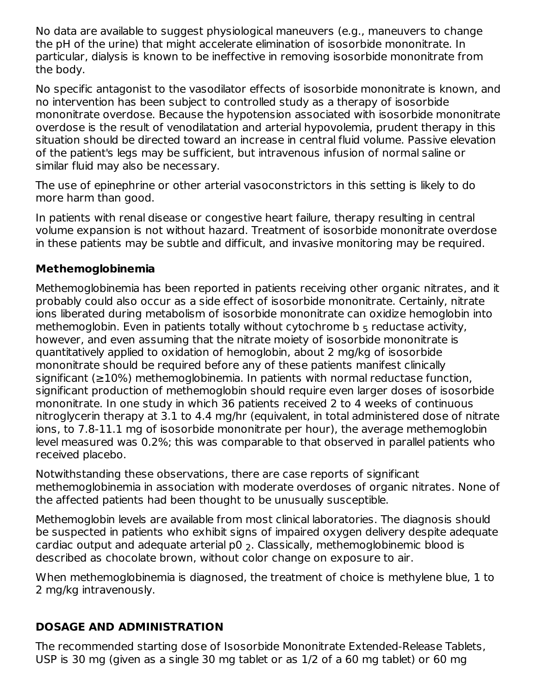No data are available to suggest physiological maneuvers (e.g., maneuvers to change the pH of the urine) that might accelerate elimination of isosorbide mononitrate. In particular, dialysis is known to be ineffective in removing isosorbide mononitrate from the body.

No specific antagonist to the vasodilator effects of isosorbide mononitrate is known, and no intervention has been subject to controlled study as a therapy of isosorbide mononitrate overdose. Because the hypotension associated with isosorbide mononitrate overdose is the result of venodilatation and arterial hypovolemia, prudent therapy in this situation should be directed toward an increase in central fluid volume. Passive elevation of the patient's legs may be sufficient, but intravenous infusion of normal saline or similar fluid may also be necessary.

The use of epinephrine or other arterial vasoconstrictors in this setting is likely to do more harm than good.

In patients with renal disease or congestive heart failure, therapy resulting in central volume expansion is not without hazard. Treatment of isosorbide mononitrate overdose in these patients may be subtle and difficult, and invasive monitoring may be required.

## **Methemoglobinemia**

Methemoglobinemia has been reported in patients receiving other organic nitrates, and it probably could also occur as a side effect of isosorbide mononitrate. Certainly, nitrate ions liberated during metabolism of isosorbide mononitrate can oxidize hemoglobin into methemoglobin. Even in patients totally without cytochrome  $\mathsf b_5$  reductase activity, however, and even assuming that the nitrate moiety of isosorbide mononitrate is quantitatively applied to oxidation of hemoglobin, about 2 mg/kg of isosorbide mononitrate should be required before any of these patients manifest clinically significant (≥10%) methemoglobinemia. In patients with normal reductase function, significant production of methemoglobin should require even larger doses of isosorbide mononitrate. In one study in which 36 patients received 2 to 4 weeks of continuous nitroglycerin therapy at 3.1 to 4.4 mg/hr (equivalent, in total administered dose of nitrate ions, to 7.8-11.1 mg of isosorbide mononitrate per hour), the average methemoglobin level measured was 0.2%; this was comparable to that observed in parallel patients who received placebo.

Notwithstanding these observations, there are case reports of significant methemoglobinemia in association with moderate overdoses of organic nitrates. None of the affected patients had been thought to be unusually susceptible.

Methemoglobin levels are available from most clinical laboratories. The diagnosis should be suspected in patients who exhibit signs of impaired oxygen delivery despite adequate cardiac output and adequate arterial p $0$   $_2$ . Classically, methemoglobinemic blood is described as chocolate brown, without color change on exposure to air.

When methemoglobinemia is diagnosed, the treatment of choice is methylene blue, 1 to 2 mg/kg intravenously.

## **DOSAGE AND ADMINISTRATION**

The recommended starting dose of Isosorbide Mononitrate Extended-Release Tablets, USP is 30 mg (given as a single 30 mg tablet or as 1/2 of a 60 mg tablet) or 60 mg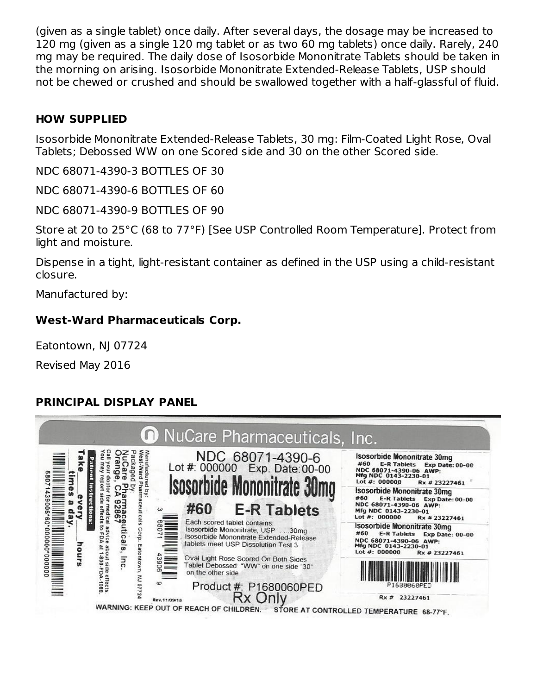(given as a single tablet) once daily. After several days, the dosage may be increased to 120 mg (given as a single 120 mg tablet or as two 60 mg tablets) once daily. Rarely, 240 mg may be required. The daily dose of Isosorbide Mononitrate Tablets should be taken in the morning on arising. Isosorbide Mononitrate Extended-Release Tablets, USP should not be chewed or crushed and should be swallowed together with a half-glassful of fluid.

## **HOW SUPPLIED**

Isosorbide Mononitrate Extended-Release Tablets, 30 mg: Film-Coated Light Rose, Oval Tablets; Debossed WW on one Scored side and 30 on the other Scored side.

NDC 68071-4390-3 BOTTLES OF 30

NDC 68071-4390-6 BOTTLES OF 60

NDC 68071-4390-9 BOTTLES OF 90

Store at 20 to 25°C (68 to 77°F) [See USP Controlled Room Temperature]. Protect from light and moisture.

Dispense in a tight, light-resistant container as defined in the USP using a child-resistant closure.

Manufactured by:

## **West-Ward Pharmaceuticals Corp.**

Eatontown, NJ 07724

Revised May 2016

## **PRINCIPAL DISPLAY PANEL**

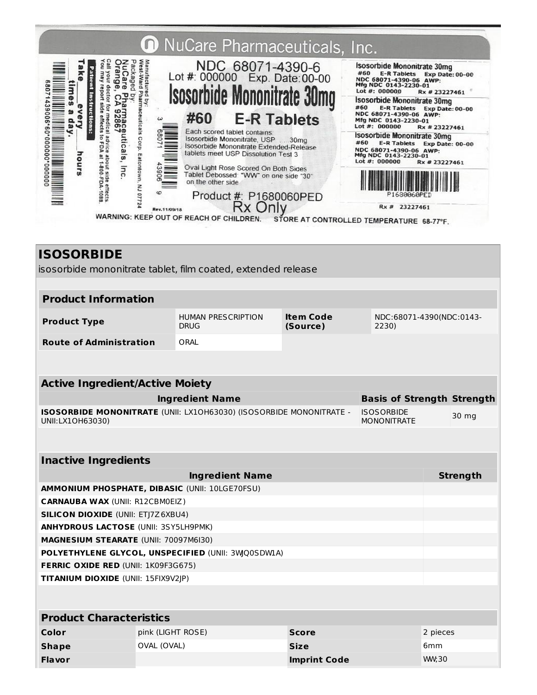

# **ISOSORBIDE**

isosorbide mononitrate tablet, film coated, extended release

| <b>Product Information</b>                         |                                             |                                                                            |                              |                                         |          |                 |  |
|----------------------------------------------------|---------------------------------------------|----------------------------------------------------------------------------|------------------------------|-----------------------------------------|----------|-----------------|--|
| <b>Product Type</b>                                |                                             | <b>HUMAN PRESCRIPTION</b><br><b>DRUG</b>                                   | <b>Item Code</b><br>(Source) | NDC:68071-4390(NDC:0143-<br>2230)       |          |                 |  |
| <b>Route of Administration</b>                     |                                             | ORAL                                                                       |                              |                                         |          |                 |  |
|                                                    |                                             |                                                                            |                              |                                         |          |                 |  |
| <b>Active Ingredient/Active Moiety</b>             |                                             |                                                                            |                              |                                         |          |                 |  |
|                                                    |                                             | <b>Ingredient Name</b>                                                     |                              | <b>Basis of Strength Strength</b>       |          |                 |  |
| UNII:LX1OH63030)                                   |                                             | <b>ISOSORBIDE MONONITRATE (UNII: LX10H63030) (ISOSORBIDE MONONITRATE -</b> |                              | <b>ISOSORBIDE</b><br><b>MONONITRATE</b> |          | 30 mg           |  |
|                                                    |                                             |                                                                            |                              |                                         |          |                 |  |
| <b>Inactive Ingredients</b>                        |                                             |                                                                            |                              |                                         |          |                 |  |
| <b>Ingredient Name</b>                             |                                             |                                                                            |                              |                                         |          | <b>Strength</b> |  |
| AMMONIUM PHOSPHATE, DIBASIC (UNII: 10LGE70FSU)     |                                             |                                                                            |                              |                                         |          |                 |  |
| <b>CARNAUBA WAX (UNII: R12CBM0EIZ)</b>             |                                             |                                                                            |                              |                                         |          |                 |  |
| <b>SILICON DIOXIDE (UNII: ETJ7Z6XBU4)</b>          |                                             |                                                                            |                              |                                         |          |                 |  |
|                                                    | <b>ANHYDROUS LACTOSE (UNII: 3SY5LH9PMK)</b> |                                                                            |                              |                                         |          |                 |  |
| MAGNESIUM STEARATE (UNII: 70097M6I30)              |                                             |                                                                            |                              |                                         |          |                 |  |
| POLYETHYLENE GLYCOL, UNSPECIFIED (UNII: 3WQ0SDWLA) |                                             |                                                                            |                              |                                         |          |                 |  |
| <b>FERRIC OXIDE RED (UNII: 1K09F3G675)</b>         |                                             |                                                                            |                              |                                         |          |                 |  |
| TITANIUM DIOXIDE (UNII: 15FIX9V2JP)                |                                             |                                                                            |                              |                                         |          |                 |  |
|                                                    |                                             |                                                                            |                              |                                         |          |                 |  |
| <b>Product Characteristics</b>                     |                                             |                                                                            |                              |                                         |          |                 |  |
| Color                                              | pink (LIGHT ROSE)                           |                                                                            | <b>Score</b>                 |                                         | 2 pieces |                 |  |
| <b>Shape</b>                                       | OVAL (OVAL)                                 |                                                                            | <b>Size</b>                  |                                         | 6mm      |                 |  |
| Flavor                                             |                                             |                                                                            | <b>Imprint Code</b>          |                                         | WW;30    |                 |  |